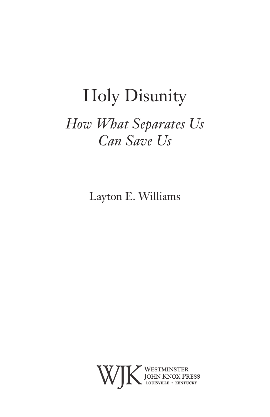# Holy Disunity

# *How What Separates Us Can Save Us*

Layton E. Williams

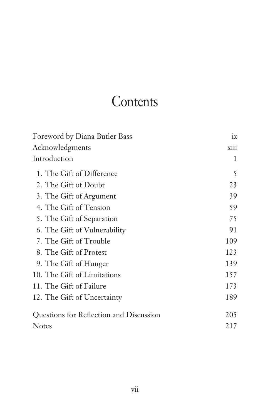# **Contents**

| Foreword by Diana Butler Bass           | 1X          |
|-----------------------------------------|-------------|
| Acknowledgments                         | <b>X111</b> |
| Introduction                            | 1           |
| 1. The Gift of Difference               | 5           |
| 2. The Gift of Doubt                    | 23          |
| 3. The Gift of Argument                 | 39          |
| 4. The Gift of Tension                  | 59          |
| 5. The Gift of Separation               | 75          |
| 6. The Gift of Vulnerability            | 91          |
| 7. The Gift of Trouble                  | 109         |
| 8. The Gift of Protest                  | 123         |
| 9. The Gift of Hunger                   | 139         |
| 10. The Gift of Limitations             | 157         |
| 11. The Gift of Failure                 | 173         |
| 12. The Gift of Uncertainty             | 189         |
| Questions for Reflection and Discussion | 205         |
| <b>Notes</b>                            | 217         |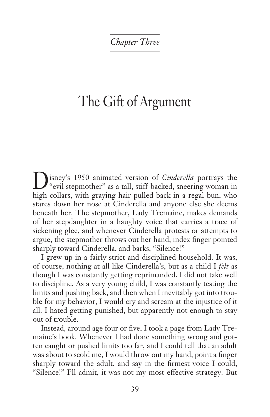### *Chapter Three*

# The Gift of Argument

**D**isney's 1950 animated version of *Cinderella* portrays the "evil stepmother" as a tall, stiff-backed, sneering woman in high collars, with graying hair pulled back in a regal bun, who stares down her nose at Cinderella and anyone else she deems beneath her. The stepmother, Lady Tremaine, makes demands of her stepdaughter in a haughty voice that carries a trace of sickening glee, and whenever Cinderella protests or attempts to argue, the stepmother throws out her hand, index finger pointed sharply toward Cinderella, and barks, "Silence!"

I grew up in a fairly strict and disciplined household. It was, of course, nothing at all like Cinderella's, but as a child I *felt* as though I was constantly getting reprimanded. I did not take well to discipline. As a very young child, I was constantly testing the limits and pushing back, and then when I inevitably got into trouble for my behavior, I would cry and scream at the injustice of it all. I hated getting punished, but apparently not enough to stay out of trouble.

Instead, around age four or five, I took a page from Lady Tremaine's book. Whenever I had done something wrong and gotten caught or pushed limits too far, and I could tell that an adult was about to scold me, I would throw out my hand, point a finger sharply toward the adult, and say in the firmest voice I could, "Silence!" I'll admit, it was not my most effective strategy. But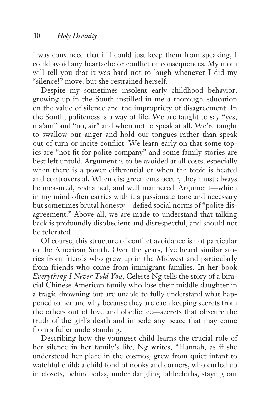I was convinced that if I could just keep them from speaking, I could avoid any heartache or conflict or consequences. My mom will tell you that it was hard not to laugh whenever I did my "silence!" move, but she restrained herself.

Despite my sometimes insolent early childhood behavior, growing up in the South instilled in me a thorough education on the value of silence and the impropriety of disagreement. In the South, politeness is a way of life. We are taught to say "yes, ma'am" and "no, sir" and when not to speak at all. We're taught to swallow our anger and hold our tongues rather than speak out of turn or incite conflict. We learn early on that some topics are "not fit for polite company" and some family stories are best left untold. Argument is to be avoided at all costs, especially when there is a power differential or when the topic is heated and controversial. When disagreements occur, they must always be measured, restrained, and well mannered. Argument—which in my mind often carries with it a passionate tone and necessary but sometimes brutal honesty—defied social norms of "polite disagreement." Above all, we are made to understand that talking back is profoundly disobedient and disrespectful, and should not be tolerated.

Of course, this structure of conflict avoidance is not particular to the American South. Over the years, I've heard similar stories from friends who grew up in the Midwest and particularly from friends who come from immigrant families. In her book *Everything I Never Told You*, Celeste Ng tells the story of a biracial Chinese American family who lose their middle daughter in a tragic drowning but are unable to fully understand what happened to her and why because they are each keeping secrets from the others out of love and obedience—secrets that obscure the truth of the girl's death and impede any peace that may come from a fuller understanding.

Describing how the youngest child learns the crucial role of her silence in her family's life, Ng writes, "Hannah, as if she understood her place in the cosmos, grew from quiet infant to watchful child: a child fond of nooks and corners, who curled up in closets, behind sofas, under dangling tablecloths, staying out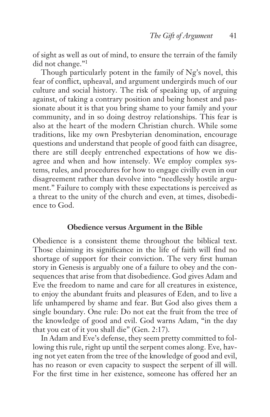of sight as well as out of mind, to ensure the terrain of the family did not change."1

Though particularly potent in the family of Ng's novel, this fear of conflict, upheaval, and argument undergirds much of our culture and social history. The risk of speaking up, of arguing against, of taking a contrary position and being honest and passionate about it is that you bring shame to your family and your community, and in so doing destroy relationships. This fear is also at the heart of the modern Christian church. While some traditions, like my own Presbyterian denomination, encourage questions and understand that people of good faith can disagree, there are still deeply entrenched expectations of how we disagree and when and how intensely. We employ complex systems, rules, and procedures for how to engage civilly even in our disagreement rather than devolve into "needlessly hostile argument." Failure to comply with these expectations is perceived as a threat to the unity of the church and even, at times, disobedience to God.

#### **Obedience versus Argument in the Bible**

Obedience is a consistent theme throughout the biblical text. Those claiming its significance in the life of faith will find no shortage of support for their conviction. The very first human story in Genesis is arguably one of a failure to obey and the consequences that arise from that disobedience. God gives Adam and Eve the freedom to name and care for all creatures in existence, to enjoy the abundant fruits and pleasures of Eden, and to live a life unhampered by shame and fear. But God also gives them a single boundary. One rule: Do not eat the fruit from the tree of the knowledge of good and evil. God warns Adam, "in the day that you eat of it you shall die" (Gen. 2:17).

In Adam and Eve's defense, they seem pretty committed to following this rule, right up until the serpent comes along. Eve, having not yet eaten from the tree of the knowledge of good and evil, has no reason or even capacity to suspect the serpent of ill will. For the first time in her existence, someone has offered her an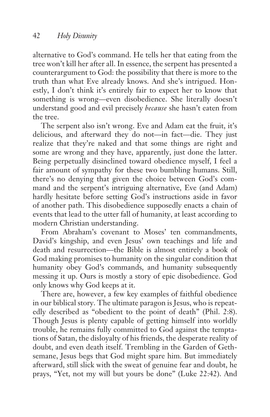alternative to God's command. He tells her that eating from the tree won't kill her after all. In essence, the serpent has presented a counterargument to God: the possibility that there is more to the truth than what Eve already knows. And she's intrigued. Honestly, I don't think it's entirely fair to expect her to know that something is wrong—even disobedience. She literally doesn't understand good and evil precisely *because* she hasn't eaten from the tree.

The serpent also isn't wrong. Eve and Adam eat the fruit, it's delicious, and afterward they do not—in fact—die. They just realize that they're naked and that some things are right and some are wrong and they have, apparently, just done the latter. Being perpetually disinclined toward obedience myself, I feel a fair amount of sympathy for these two bumbling humans. Still, there's no denying that given the choice between God's command and the serpent's intriguing alternative, Eve (and Adam) hardly hesitate before setting God's instructions aside in favor of another path. This disobedience supposedly enacts a chain of events that lead to the utter fall of humanity, at least according to modern Christian understanding.

From Abraham's covenant to Moses' ten commandments, David's kingship, and even Jesus' own teachings and life and death and resurrection—the Bible is almost entirely a book of God making promises to humanity on the singular condition that humanity obey God's commands, and humanity subsequently messing it up. Ours is mostly a story of epic disobedience. God only knows why God keeps at it.

There are, however, a few key examples of faithful obedience in our biblical story. The ultimate paragon is Jesus, who is repeatedly described as "obedient to the point of death" (Phil. 2:8). Though Jesus is plenty capable of getting himself into worldly trouble, he remains fully committed to God against the temptations of Satan, the disloyalty of his friends, the desperate reality of doubt, and even death itself. Trembling in the Garden of Gethsemane, Jesus begs that God might spare him. But immediately afterward, still slick with the sweat of genuine fear and doubt, he prays, "Yet, not my will but yours be done" (Luke 22:42). And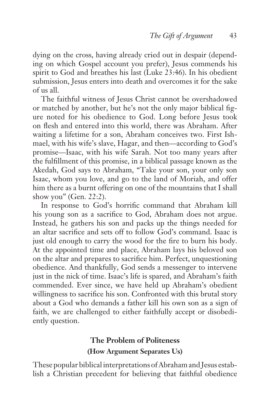dying on the cross, having already cried out in despair (depending on which Gospel account you prefer), Jesus commends his spirit to God and breathes his last (Luke 23:46). In his obedient submission, Jesus enters into death and overcomes it for the sake of us all.

The faithful witness of Jesus Christ cannot be overshadowed or matched by another, but he's not the only major biblical figure noted for his obedience to God. Long before Jesus took on flesh and entered into this world, there was Abraham. After waiting a lifetime for a son, Abraham conceives two. First Ishmael, with his wife's slave, Hagar, and then—according to God's promise—Isaac, with his wife Sarah. Not too many years after the fulfillment of this promise, in a biblical passage known as the Akedah, God says to Abraham, "Take your son, your only son Isaac, whom you love, and go to the land of Moriah, and offer him there as a burnt offering on one of the mountains that I shall show you" (Gen. 22:2).

In response to God's horrific command that Abraham kill his young son as a sacrifice to God, Abraham does not argue. Instead, he gathers his son and packs up the things needed for an altar sacrifice and sets off to follow God's command. Isaac is just old enough to carry the wood for the fire to burn his body. At the appointed time and place, Abraham lays his beloved son on the altar and prepares to sacrifice him. Perfect, unquestioning obedience. And thankfully, God sends a messenger to intervene just in the nick of time. Isaac's life is spared, and Abraham's faith commended. Ever since, we have held up Abraham's obedient willingness to sacrifice his son. Confronted with this brutal story about a God who demands a father kill his own son as a sign of faith, we are challenged to either faithfully accept or disobediently question.

## **The Problem of Politeness (How Argument Separates Us)**

These popular biblical interpretations of Abraham and Jesus establish a Christian precedent for believing that faithful obedience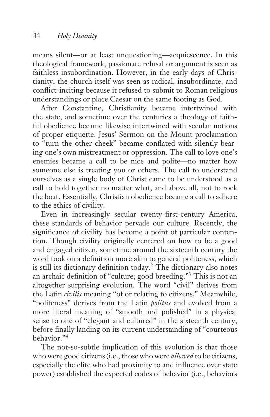means silent—or at least unquestioning—acquiescence. In this theological framework, passionate refusal or argument is seen as faithless insubordination. However, in the early days of Christianity, the church itself was seen as radical, insubordinate, and conflict-inciting because it refused to submit to Roman religious understandings or place Caesar on the same footing as God.

After Constantine, Christianity became intertwined with the state, and sometime over the centuries a theology of faithful obedience became likewise intertwined with secular notions of proper etiquette. Jesus' Sermon on the Mount proclamation to "turn the other cheek" became conflated with silently bearing one's own mistreatment or oppression. The call to love one's enemies became a call to be nice and polite—no matter how someone else is treating you or others. The call to understand ourselves as a single body of Christ came to be understood as a call to hold together no matter what, and above all, not to rock the boat. Essentially, Christian obedience became a call to adhere to the ethics of civility.

Even in increasingly secular twenty-first-century America, these standards of behavior pervade our culture. Recently, the significance of civility has become a point of particular contention. Though civility originally centered on how to be a good and engaged citizen, sometime around the sixteenth century the word took on a definition more akin to general politeness, which is still its dictionary definition today.2 The dictionary also notes an archaic definition of "culture; good breeding."3 This is not an altogether surprising evolution. The word "civil" derives from the Latin *civilis* meaning "of or relating to citizens." Meanwhile, "politeness" derives from the Latin *politus* and evolved from a more literal meaning of "smooth and polished" in a physical sense to one of "elegant and cultured" in the sixteenth century, before finally landing on its current understanding of "courteous behavior."4

The not-so-subtle implication of this evolution is that those who were good citizens (i.e., those who were *allowed* to be citizens, especially the elite who had proximity to and influence over state power) established the expected codes of behavior (i.e., behaviors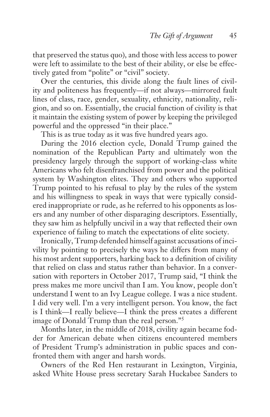that preserved the status quo), and those with less access to power were left to assimilate to the best of their ability, or else be effectively gated from "polite" or "civil" society.

Over the centuries, this divide along the fault lines of civility and politeness has frequently—if not always—mirrored fault lines of class, race, gender, sexuality, ethnicity, nationality, religion, and so on. Essentially, the crucial function of civility is that it maintain the existing system of power by keeping the privileged powerful and the oppressed "in their place."

This is as true today as it was five hundred years ago.

During the 2016 election cycle, Donald Trump gained the nomination of the Republican Party and ultimately won the presidency largely through the support of working-class white Americans who felt disenfranchised from power and the political system by Washington elites. They and others who supported Trump pointed to his refusal to play by the rules of the system and his willingness to speak in ways that were typically considered inappropriate or rude, as he referred to his opponents as losers and any number of other disparaging descriptors. Essentially, they saw him as helpfully uncivil in a way that reflected their own experience of failing to match the expectations of elite society.

Ironically, Trump defended himself against accusations of incivility by pointing to precisely the ways he differs from many of his most ardent supporters, harking back to a definition of civility that relied on class and status rather than behavior. In a conversation with reporters in October 2017, Trump said, "I think the press makes me more uncivil than I am. You know, people don't understand I went to an Ivy League college. I was a nice student. I did very well. I'm a very intelligent person. You know, the fact is I think—I really believe—I think the press creates a different image of Donald Trump than the real person."5

Months later, in the middle of 2018, civility again became fodder for American debate when citizens encountered members of President Trump's administration in public spaces and confronted them with anger and harsh words.

Owners of the Red Hen restaurant in Lexington, Virginia, asked White House press secretary Sarah Huckabee Sanders to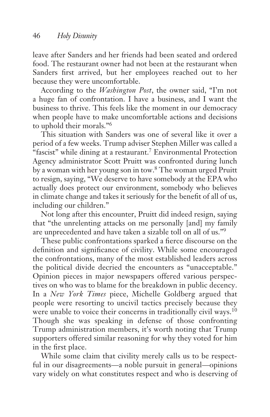leave after Sanders and her friends had been seated and ordered food. The restaurant owner had not been at the restaurant when Sanders first arrived, but her employees reached out to her because they were uncomfortable.

According to the *Washington Post*, the owner said, "I'm not a huge fan of confrontation. I have a business, and I want the business to thrive. This feels like the moment in our democracy when people have to make uncomfortable actions and decisions to uphold their morals."6

This situation with Sanders was one of several like it over a period of a few weeks. Trump adviser Stephen Miller was called a "fascist" while dining at a restaurant.7 Environmental Protection Agency administrator Scott Pruitt was confronted during lunch by a woman with her young son in tow.8 The woman urged Pruitt to resign, saying, "We deserve to have somebody at the EPA who actually does protect our environment, somebody who believes in climate change and takes it seriously for the benefit of all of us, including our children."

Not long after this encounter, Pruitt did indeed resign, saying that "the unrelenting attacks on me personally [and] my family are unprecedented and have taken a sizable toll on all of us."9

These public confrontations sparked a fierce discourse on the definition and significance of civility. While some encouraged the confrontations, many of the most established leaders across the political divide decried the encounters as "unacceptable." Opinion pieces in major newspapers offered various perspectives on who was to blame for the breakdown in public decency. In a *New York Times* piece, Michelle Goldberg argued that people were resorting to uncivil tactics precisely because they were unable to voice their concerns in traditionally civil ways.<sup>10</sup> Though she was speaking in defense of those confronting Trump administration members, it's worth noting that Trump supporters offered similar reasoning for why they voted for him in the first place.

While some claim that civility merely calls us to be respectful in our disagreements—a noble pursuit in general—opinions vary widely on what constitutes respect and who is deserving of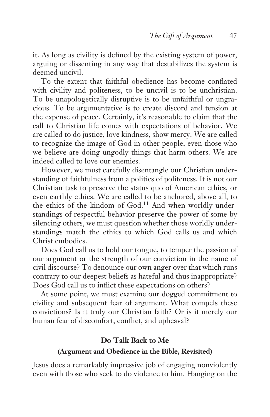it. As long as civility is defined by the existing system of power, arguing or dissenting in any way that destabilizes the system is deemed uncivil.

To the extent that faithful obedience has become conflated with civility and politeness, to be uncivil is to be unchristian. To be unapologetically disruptive is to be unfaithful or ungracious. To be argumentative is to create discord and tension at the expense of peace. Certainly, it's reasonable to claim that the call to Christian life comes with expectations of behavior. We are called to do justice, love kindness, show mercy. We are called to recognize the image of God in other people, even those who we believe are doing ungodly things that harm others. We are indeed called to love our enemies.

However, we must carefully disentangle our Christian understanding of faithfulness from a politics of politeness. It is not our Christian task to preserve the status quo of American ethics, or even earthly ethics. We are called to be anchored, above all, to the ethics of the kindom of God.<sup>11</sup> And when worldly understandings of respectful behavior preserve the power of some by silencing others, we must question whether those worldly understandings match the ethics to which God calls us and which Christ embodies.

Does God call us to hold our tongue, to temper the passion of our argument or the strength of our conviction in the name of civil discourse? To denounce our own anger over that which runs contrary to our deepest beliefs as hateful and thus inappropriate? Does God call us to inflict these expectations on others?

At some point, we must examine our dogged commitment to civility and subsequent fear of argument. What compels these convictions? Is it truly our Christian faith? Or is it merely our human fear of discomfort, conflict, and upheaval?

#### **Do Talk Back to Me**

#### **(Argument and Obedience in the Bible, Revisited)**

Jesus does a remarkably impressive job of engaging nonviolently even with those who seek to do violence to him. Hanging on the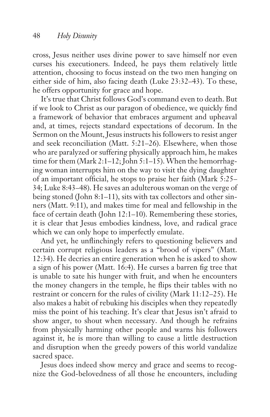cross, Jesus neither uses divine power to save himself nor even curses his executioners. Indeed, he pays them relatively little attention, choosing to focus instead on the two men hanging on either side of him, also facing death (Luke 23:32–43). To these, he offers opportunity for grace and hope.

It's true that Christ follows God's command even to death. But if we look to Christ as our paragon of obedience, we quickly find a framework of behavior that embraces argument and upheaval and, at times, rejects standard expectations of decorum. In the Sermon on the Mount, Jesus instructs his followers to resist anger and seek reconciliation (Matt. 5:21–26). Elsewhere, when those who are paralyzed or suffering physically approach him, he makes time for them (Mark 2:1-12; John 5:1-15). When the hemorrhaging woman interrupts him on the way to visit the dying daughter of an important official, he stops to praise her faith (Mark 5:25– 34; Luke 8:43–48). He saves an adulterous woman on the verge of being stoned (John 8:1–11), sits with tax collectors and other sinners (Matt. 9:11), and makes time for meal and fellowship in the face of certain death (John 12:1–10). Remembering these stories, it is clear that Jesus embodies kindness, love, and radical grace which we can only hope to imperfectly emulate.

And yet, he unflinchingly refers to questioning believers and certain corrupt religious leaders as a "brood of vipers" (Matt. 12:34). He decries an entire generation when he is asked to show a sign of his power (Matt. 16:4). He curses a barren fig tree that is unable to sate his hunger with fruit, and when he encounters the money changers in the temple, he flips their tables with no restraint or concern for the rules of civility (Mark 11:12–25). He also makes a habit of rebuking his disciples when they repeatedly miss the point of his teaching. It's clear that Jesus isn't afraid to show anger, to shout when necessary. And though he refrains from physically harming other people and warns his followers against it, he is more than willing to cause a little destruction and disruption when the greedy powers of this world vandalize sacred space.

Jesus does indeed show mercy and grace and seems to recognize the God-belovedness of all those he encounters, including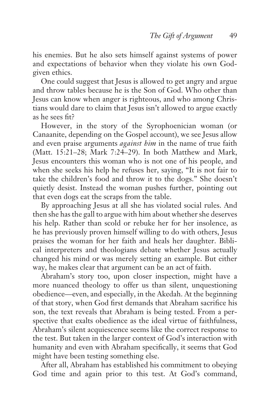his enemies. But he also sets himself against systems of power and expectations of behavior when they violate his own Godgiven ethics.

One could suggest that Jesus is allowed to get angry and argue and throw tables because he is the Son of God. Who other than Jesus can know when anger is righteous, and who among Christians would dare to claim that Jesus isn't allowed to argue exactly as he sees fit?

However, in the story of the Syrophoenician woman (or Canaanite, depending on the Gospel account), we see Jesus allow and even praise arguments *against him* in the name of true faith (Matt. 15:21–28; Mark 7:24–29). In both Matthew and Mark, Jesus encounters this woman who is not one of his people, and when she seeks his help he refuses her, saying, "It is not fair to take the children's food and throw it to the dogs." She doesn't quietly desist. Instead the woman pushes further, pointing out that even dogs eat the scraps from the table.

By approaching Jesus at all she has violated social rules. And then she has the gall to argue with him about whether she deserves his help. Rather than scold or rebuke her for her insolence, as he has previously proven himself willing to do with others, Jesus praises the woman for her faith and heals her daughter. Biblical interpreters and theologians debate whether Jesus actually changed his mind or was merely setting an example. But either way, he makes clear that argument can be an act of faith.

Abraham's story too, upon closer inspection, might have a more nuanced theology to offer us than silent, unquestioning obedience—even, and especially, in the Akedah. At the beginning of that story, when God first demands that Abraham sacrifice his son, the text reveals that Abraham is being tested. From a perspective that exalts obedience as the ideal virtue of faithfulness, Abraham's silent acquiescence seems like the correct response to the test. But taken in the larger context of God's interaction with humanity and even with Abraham specifically, it seems that God might have been testing something else.

After all, Abraham has established his commitment to obeying God time and again prior to this test. At God's command,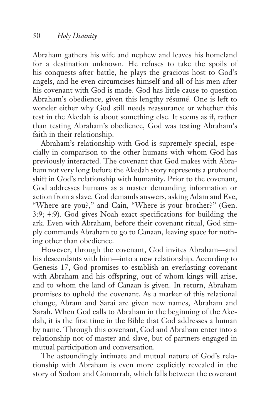Abraham gathers his wife and nephew and leaves his homeland for a destination unknown. He refuses to take the spoils of his conquests after battle, he plays the gracious host to God's angels, and he even circumcises himself and all of his men after his covenant with God is made. God has little cause to question Abraham's obedience, given this lengthy résumé. One is left to wonder either why God still needs reassurance or whether this test in the Akedah is about something else. It seems as if, rather than testing Abraham's obedience, God was testing Abraham's faith in their relationship.

Abraham's relationship with God is supremely special, especially in comparison to the other humans with whom God has previously interacted. The covenant that God makes with Abraham not very long before the Akedah story represents a profound shift in God's relationship with humanity. Prior to the covenant, God addresses humans as a master demanding information or action from a slave. God demands answers, asking Adam and Eve, "Where are you?," and Cain, "Where is your brother?" (Gen. 3:9; 4:9). God gives Noah exact specifications for building the ark. Even with Abraham, before their covenant ritual, God simply commands Abraham to go to Canaan, leaving space for nothing other than obedience.

However, through the covenant, God invites Abraham—and his descendants with him—into a new relationship. According to Genesis 17, God promises to establish an everlasting covenant with Abraham and his offspring, out of whom kings will arise, and to whom the land of Canaan is given. In return, Abraham promises to uphold the covenant. As a marker of this relational change, Abram and Sarai are given new names, Abraham and Sarah. When God calls to Abraham in the beginning of the Akedah, it is the first time in the Bible that God addresses a human by name. Through this covenant, God and Abraham enter into a relationship not of master and slave, but of partners engaged in mutual participation and conversation.

The astoundingly intimate and mutual nature of God's relationship with Abraham is even more explicitly revealed in the story of Sodom and Gomorrah, which falls between the covenant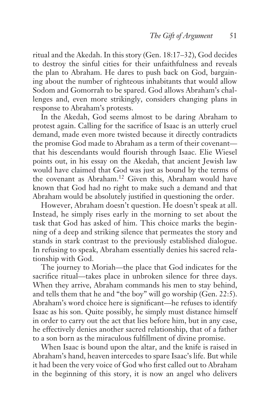ritual and the Akedah. In this story (Gen. 18:17–32), God decides to destroy the sinful cities for their unfaithfulness and reveals the plan to Abraham. He dares to push back on God, bargaining about the number of righteous inhabitants that would allow Sodom and Gomorrah to be spared. God allows Abraham's challenges and, even more strikingly, considers changing plans in response to Abraham's protests.

In the Akedah, God seems almost to be daring Abraham to protest again. Calling for the sacrifice of Isaac is an utterly cruel demand, made even more twisted because it directly contradicts the promise God made to Abraham as a term of their covenant that his descendants would flourish through Isaac. Elie Wiesel points out, in his essay on the Akedah, that ancient Jewish law would have claimed that God was just as bound by the terms of the covenant as Abraham.12 Given this, Abraham would have known that God had no right to make such a demand and that Abraham would be absolutely justified in questioning the order.

However, Abraham doesn't question. He doesn't speak at all. Instead, he simply rises early in the morning to set about the task that God has asked of him. This choice marks the beginning of a deep and striking silence that permeates the story and stands in stark contrast to the previously established dialogue. In refusing to speak, Abraham essentially denies his sacred relationship with God.

The journey to Moriah—the place that God indicates for the sacrifice ritual—takes place in unbroken silence for three days. When they arrive, Abraham commands his men to stay behind, and tells them that he and "the boy" will go worship (Gen. 22:5). Abraham's word choice here is significant—he refuses to identify Isaac as his son. Quite possibly, he simply must distance himself in order to carry out the act that lies before him, but in any case, he effectively denies another sacred relationship, that of a father to a son born as the miraculous fulfillment of divine promise.

When Isaac is bound upon the altar, and the knife is raised in Abraham's hand, heaven intercedes to spare Isaac's life. But while it had been the very voice of God who first called out to Abraham in the beginning of this story, it is now an angel who delivers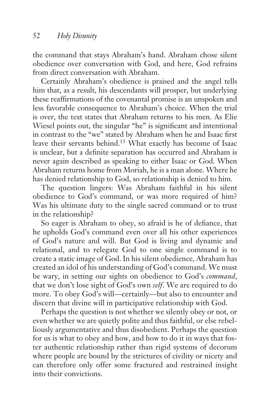the command that stays Abraham's hand. Abraham chose silent obedience over conversation with God, and here, God refrains from direct conversation with Abraham.

Certainly Abraham's obedience is praised and the angel tells him that, as a result, his descendants will prosper, but underlying these reaffirmations of the covenantal promise is an unspoken and less favorable consequence to Abraham's choice. When the trial is over, the text states that Abraham returns to his men. As Elie Wiesel points out, the singular "he" is significant and intentional in contrast to the "we" stated by Abraham when he and Isaac first leave their servants behind.<sup>13</sup> What exactly has become of Isaac is unclear, but a definite separation has occurred and Abraham is never again described as speaking to either Isaac or God. When Abraham returns home from Moriah, he is a man alone. Where he has denied relationship to God, so relationship is denied to him.

The question lingers: Was Abraham faithful in his silent obedience to God's command, or was more required of him? Was his ultimate duty to the single sacred command or to trust in the relationship?

So eager is Abraham to obey, so afraid is he of defiance, that he upholds God's command even over all his other experiences of God's nature and will. But God is living and dynamic and relational, and to relegate God to one single command is to create a static image of God. In his silent obedience, Abraham has created an idol of his understanding of God's command. We must be wary, in setting our sights on obedience to God's *command*, that we don't lose sight of God's own *self*. We are required to do more. To obey God's will—certainly—but also to encounter and discern that divine will in participative relationship with God.

Perhaps the question is not whether we silently obey or not, or even whether we are quietly polite and thus faithful, or else rebelliously argumentative and thus disobedient. Perhaps the question for us is what to obey and how, and how to do it in ways that foster authentic relationship rather than rigid systems of decorum where people are bound by the strictures of civility or nicety and can therefore only offer some fractured and restrained insight into their convictions.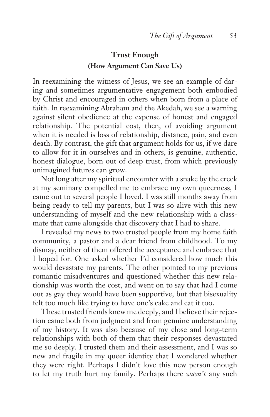### **Trust Enough (How Argument Can Save Us)**

In reexamining the witness of Jesus, we see an example of daring and sometimes argumentative engagement both embodied by Christ and encouraged in others when born from a place of faith. In reexamining Abraham and the Akedah, we see a warning against silent obedience at the expense of honest and engaged relationship. The potential cost, then, of avoiding argument when it is needed is loss of relationship, distance, pain, and even death. By contrast, the gift that argument holds for us, if we dare to allow for it in ourselves and in others, is genuine, authentic, honest dialogue, born out of deep trust, from which previously unimagined futures can grow.

### Not long after my spiritual encounter with a snake by the creek at my seminary compelled me to embrace my own queerness, I came out to several people I loved. I was still months away from being ready to tell my parents, but I was so alive with this new understanding of myself and the new relationship with a classmate that came alongside that discovery that I had to share.

I revealed my news to two trusted people from my home faith community, a pastor and a dear friend from childhood. To my dismay, neither of them offered the acceptance and embrace that I hoped for. One asked whether I'd considered how much this would devastate my parents. The other pointed to my previous romantic misadventures and questioned whether this new relationship was worth the cost, and went on to say that had I come out as gay they would have been supportive, but that bisexuality felt too much like trying to have one's cake and eat it too.

These trusted friends knew me deeply, and I believe their rejection came both from judgment and from genuine understanding of my history. It was also because of my close and long-term relationships with both of them that their responses devastated me so deeply. I trusted them and their assessment, and I was so new and fragile in my queer identity that I wondered whether they were right. Perhaps I didn't love this new person enough to let my truth hurt my family. Perhaps there *wasn't* any such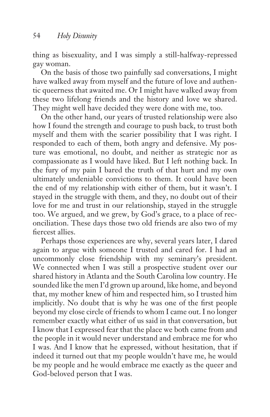thing as bisexuality, and I was simply a still-halfway-repressed gay woman.

On the basis of those two painfully sad conversations, I might have walked away from myself and the future of love and authentic queerness that awaited me. Or I might have walked away from these two lifelong friends and the history and love we shared. They might well have decided they were done with me, too.

On the other hand, our years of trusted relationship were also how I found the strength and courage to push back, to trust both myself and them with the scarier possibility that I was right. I responded to each of them, both angry and defensive. My posture was emotional, no doubt, and neither as strategic nor as compassionate as I would have liked. But I left nothing back. In the fury of my pain I bared the truth of that hurt and my own ultimately undeniable convictions to them. It could have been the end of my relationship with either of them, but it wasn't. I stayed in the struggle with them, and they, no doubt out of their love for me and trust in our relationship, stayed in the struggle too. We argued, and we grew, by God's grace, to a place of reconciliation. These days those two old friends are also two of my fiercest allies.

Perhaps those experiences are why, several years later, I dared again to argue with someone I trusted and cared for. I had an uncommonly close friendship with my seminary's president. We connected when I was still a prospective student over our shared history in Atlanta and the South Carolina low country. He sounded like the men I'd grown up around, like home, and beyond that, my mother knew of him and respected him, so I trusted him implicitly. No doubt that is why he was one of the first people beyond my close circle of friends to whom I came out. I no longer remember exactly what either of us said in that conversation, but I know that I expressed fear that the place we both came from and the people in it would never understand and embrace me for who I was. And I know that he expressed, without hesitation, that if indeed it turned out that my people wouldn't have me, he would be my people and he would embrace me exactly as the queer and God-beloved person that I was.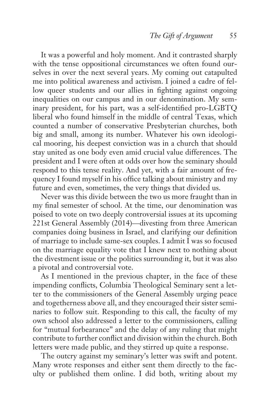It was a powerful and holy moment. And it contrasted sharply with the tense oppositional circumstances we often found ourselves in over the next several years. My coming out catapulted me into political awareness and activism. I joined a cadre of fellow queer students and our allies in fighting against ongoing inequalities on our campus and in our denomination. My seminary president, for his part, was a self-identified pro-LGBTQ liberal who found himself in the middle of central Texas, which counted a number of conservative Presbyterian churches, both big and small, among its number. Whatever his own ideological mooring, his deepest conviction was in a church that should stay united as one body even amid crucial value differences. The president and I were often at odds over how the seminary should respond to this tense reality. And yet, with a fair amount of frequency I found myself in his office talking about ministry and my future and even, sometimes, the very things that divided us.

Never was this divide between the two us more fraught than in my final semester of school. At the time, our denomination was poised to vote on two deeply controversial issues at its upcoming 221st General Assembly (2014)—divesting from three American companies doing business in Israel, and clarifying our definition of marriage to include same-sex couples. I admit I was so focused on the marriage equality vote that I knew next to nothing about the divestment issue or the politics surrounding it, but it was also a pivotal and controversial vote.

As I mentioned in the previous chapter, in the face of these impending conflicts, Columbia Theological Seminary sent a letter to the commissioners of the General Assembly urging peace and togetherness above all, and they encouraged their sister seminaries to follow suit. Responding to this call, the faculty of my own school also addressed a letter to the commissioners, calling for "mutual forbearance" and the delay of any ruling that might contribute to further conflict and division within the church. Both letters were made public, and they stirred up quite a response.

The outcry against my seminary's letter was swift and potent. Many wrote responses and either sent them directly to the faculty or published them online. I did both, writing about my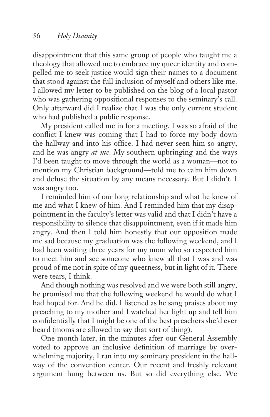disappointment that this same group of people who taught me a theology that allowed me to embrace my queer identity and compelled me to seek justice would sign their names to a document that stood against the full inclusion of myself and others like me. I allowed my letter to be published on the blog of a local pastor who was gathering oppositional responses to the seminary's call. Only afterward did I realize that I was the only current student who had published a public response.

My president called me in for a meeting. I was so afraid of the conflict I knew was coming that I had to force my body down the hallway and into his office. I had never seen him so angry, and he was angry *at me*. My southern upbringing and the ways I'd been taught to move through the world as a woman—not to mention my Christian background—told me to calm him down and defuse the situation by any means necessary. But I didn't. I was angry too.

I reminded him of our long relationship and what he knew of me and what I knew of him. And I reminded him that my disappointment in the faculty's letter was valid and that I didn't have a responsibility to silence that disappointment, even if it made him angry. And then I told him honestly that our opposition made me sad because my graduation was the following weekend, and I had been waiting three years for my mom who so respected him to meet him and see someone who knew all that I was and was proud of me not in spite of my queerness, but in light of it. There were tears, I think.

And though nothing was resolved and we were both still angry, he promised me that the following weekend he would do what I had hoped for. And he did. I listened as he sang praises about my preaching to my mother and I watched her light up and tell him confidentially that I might be one of the best preachers she'd ever heard (moms are allowed to say that sort of thing).

One month later, in the minutes after our General Assembly voted to approve an inclusive definition of marriage by overwhelming majority, I ran into my seminary president in the hallway of the convention center. Our recent and freshly relevant argument hung between us. But so did everything else. We